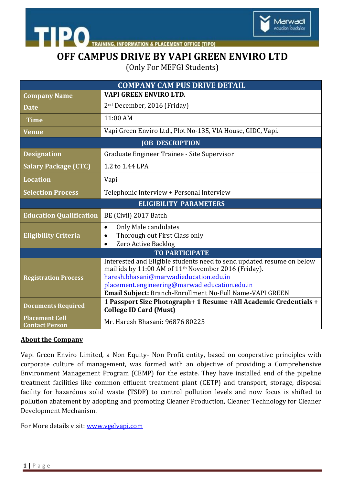

**STIPO AINING, INFORMATION & PLACEMENT OFFICE [TIPO]** 

# **OFF CAMPUS DRIVE BY VAPI GREEN ENVIRO LTD**

(Only For MEFGI Students)

| <b>COMPANY CAM PUS DRIVE DETAIL</b>            |                                                                                                                                                                                                                                                                                                  |
|------------------------------------------------|--------------------------------------------------------------------------------------------------------------------------------------------------------------------------------------------------------------------------------------------------------------------------------------------------|
| <b>Company Name</b>                            | <b>VAPI GREEN ENVIRO LTD.</b>                                                                                                                                                                                                                                                                    |
| <b>Date</b>                                    | 2 <sup>nd</sup> December, 2016 (Friday)                                                                                                                                                                                                                                                          |
| <b>Time</b>                                    | 11:00 AM                                                                                                                                                                                                                                                                                         |
| <b>Venue</b>                                   | Vapi Green Enviro Ltd., Plot No-135, VIA House, GIDC, Vapi.                                                                                                                                                                                                                                      |
| <b>JOB DESCRIPTION</b>                         |                                                                                                                                                                                                                                                                                                  |
| <b>Designation</b>                             | Graduate Engineer Trainee - Site Supervisor                                                                                                                                                                                                                                                      |
| <b>Salary Package (CTC)</b>                    | 1.2 to 1.44 LPA                                                                                                                                                                                                                                                                                  |
| <b>Location</b>                                | Vapi                                                                                                                                                                                                                                                                                             |
| <b>Selection Process</b>                       | Telephonic Interview + Personal Interview                                                                                                                                                                                                                                                        |
| <b>ELIGIBILITY PARAMETERS</b>                  |                                                                                                                                                                                                                                                                                                  |
| <b>Education Qualification</b>                 | BE (Civil) 2017 Batch                                                                                                                                                                                                                                                                            |
| <b>Eligibility Criteria</b>                    | Only Male candidates<br>$\bullet$<br>Thorough out First Class only<br>٠<br>Zero Active Backlog<br>$\bullet$                                                                                                                                                                                      |
| <b>TO PARTICIPATE</b>                          |                                                                                                                                                                                                                                                                                                  |
| <b>Registration Process</b>                    | Interested and Eligible students need to send updated resume on below<br>mail ids by 11:00 AM of 11 <sup>th</sup> November 2016 (Friday).<br>haresh.bhasani@marwadieducation.edu.in<br>placement.engineering@marwadieducation.edu.in<br>Email Subject: Branch-Enrollment No-Full Name-VAPI GREEN |
| <b>Documents Required</b>                      | 1 Passport Size Photograph+ 1 Resume + All Academic Credentials +<br><b>College ID Card (Must)</b>                                                                                                                                                                                               |
| <b>Placement Cell</b><br><b>Contact Person</b> | Mr. Haresh Bhasani: 96876 80225                                                                                                                                                                                                                                                                  |

### **About the Company**

Vapi Green Enviro Limited, a Non Equity- Non Profit entity, based on cooperative principles with corporate culture of management, was formed with an objective of providing a Comprehensive Environment Management Program (CEMP) for the estate. They have installed end of the pipeline treatment facilities like common effluent treatment plant (CETP) and transport, storage, disposal facility for hazardous solid waste (TSDF) to control pollution levels and now focus is shifted to pollution abatement by adopting and promoting Cleaner Production, Cleaner Technology for Cleaner Development Mechanism.

For More details visit: [www.vgelvapi.com](http://www.vgelvapi.com/)